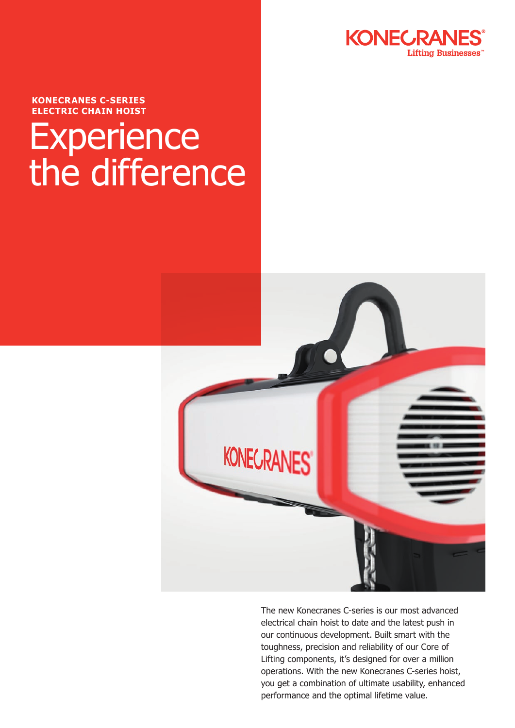

**KONECRANES C-SERIES ELECTRIC CHAIN HOIST**

## **Experience** the difference



The new Konecranes C-series is our most advanced electrical chain hoist to date and the latest push in our continuous development. Built smart with the toughness, precision and reliability of our Core of Lifting components, it's designed for over a million operations. With the new Konecranes C-series hoist, you get a combination of ultimate usability, enhanced performance and the optimal lifetime value.